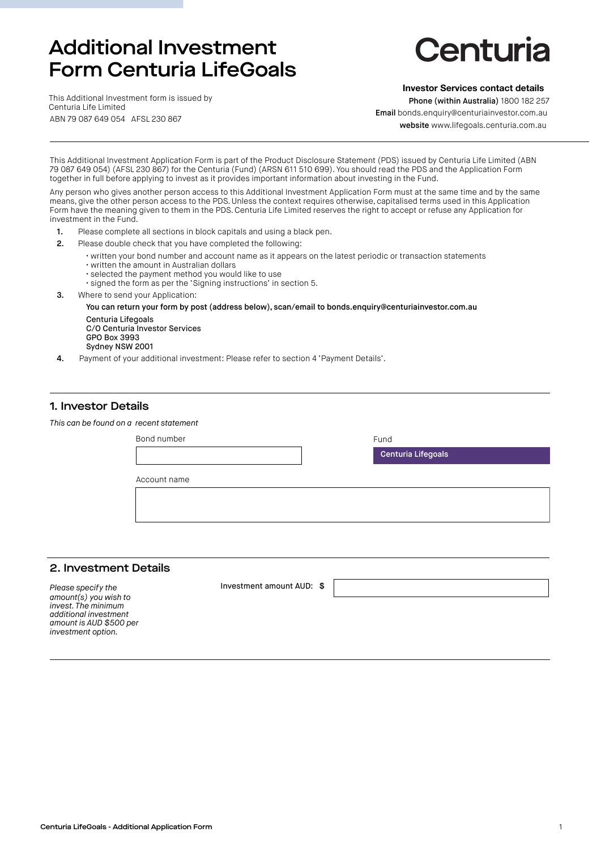# Additional Investment Form Centuria LifeGoals

# Centuria

This Additional Investment form is issued by Centuria Life Limited ABN 79 087 649 054 AFSL 230 867

#### **Investor Services contact details**

Phone (within Australia) 1800 182 257 Email bonds.enquiry@centuriainvestor.com.au

websit[e](www.lifegoals.centuria.com.au) www.lifegoals.centuria.com.au

This Additional Investment Application Form is part of the Product Disclosure Statement (PDS) issued by Centuria Life Limited (ABN 79 087 649 054) (AFSL 230 867) for the Centuria (Fund) (ARSN 611 510 699). You should read the PDS and the Application Form together in full before applying to invest as it provides important information about investing in the Fund.

Any person who gives another person access to this Additional Investment Application Form must at the same time and by the same means, give the other person access to the PDS. Unless the context requires otherwise, capitalised terms used in this Application Form have the meaning given to them in the PDS. Centuria Life Limited reserves the right to accept or refuse any Application for investment in the Fund.

- 1. Please complete all sections in block capitals and using a black pen.
- 2. Please double check that you have completed the following:
	- written your bond number and account name as it appears on the latest periodic or transaction statements
	- written the amount in Australian dollars
	- selected the payment method you would like to use
	- signed the form as per the 'Signing instructions' in section 5.
- 3. Where to send your Application:

You can return your form by post (address below), scan/email to bonds.enquiry@centuriainvestor.com.au

Centuria Lifegoals C/O Centuria Investor Services GPO Box 3993 Sydney NSW 2001

4. Payment of your additional investment: Please refer to section 4 'Payment Details'.

#### 1. Investor Details

| This can be found on a recent statement |             |  |                    |
|-----------------------------------------|-------------|--|--------------------|
|                                         | Bond number |  | Fund               |
|                                         |             |  | Centuria Lifegoals |
| Account name                            |             |  |                    |
|                                         |             |  |                    |
|                                         |             |  |                    |

#### 2. Investment Details

*Please specify the amount(s) you wish to invest. The minimum additional investment amount is AUD \$500 per investment option.* 

Investment amount AUD: \$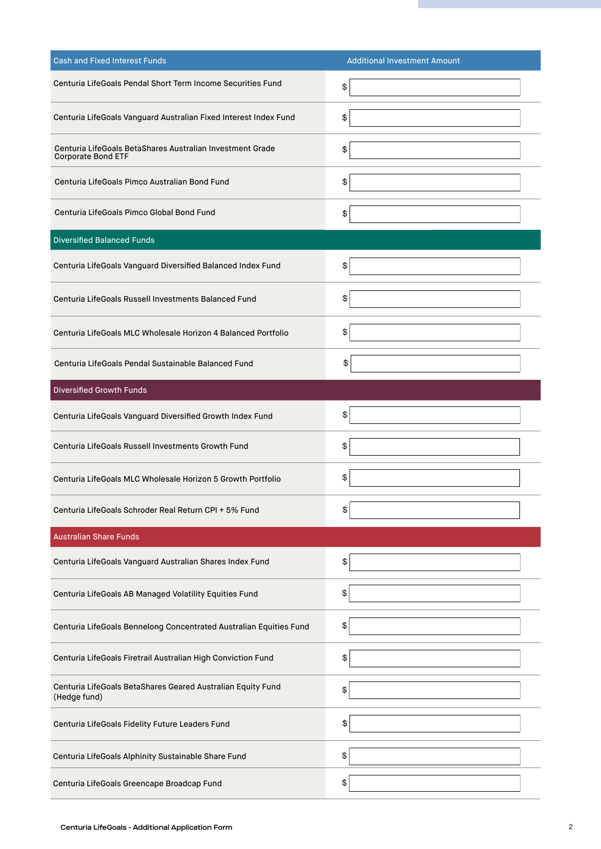| <b>Cash and Fixed Interest Funds</b>                                                   | <b>Additional Investment Amount</b> |
|----------------------------------------------------------------------------------------|-------------------------------------|
| Centuria LifeGoals Pendal Short Term Income Securities Fund                            | \$                                  |
| Centuria LifeGoals Vanguard Australian Fixed Interest Index Fund                       | \$                                  |
| Centuria LifeGoals BetaShares Australian Investment Grade<br><b>Corporate Bond ETF</b> | \$                                  |
| Centuria LifeGoals Pimco Australian Bond Fund                                          | \$                                  |
| Centuria LifeGoals Pimco Global Bond Fund                                              | \$                                  |
| <b>Diversified Balanced Funds</b>                                                      |                                     |
| Centuria LifeGoals Vanguard Diversified Balanced Index Fund                            | \$                                  |
| Centuria LifeGoals Russell Investments Balanced Fund                                   | \$                                  |
| Centuria LifeGoals MLC Wholesale Horizon 4 Balanced Portfolio                          | \$                                  |
| Centuria LifeGoals Pendal Sustainable Balanced Fund                                    | \$                                  |
| <b>Diversified Growth Funds</b>                                                        |                                     |
| Centuria LifeGoals Vanguard Diversified Growth Index Fund                              | \$                                  |
| Centuria LifeGoals Russell Investments Growth Fund                                     | \$                                  |
| Centuria LifeGoals MLC Wholesale Horizon 5 Growth Portfolio                            | \$                                  |
| Centuria LifeGoals Schroder Real Return CPI + 5% Fund                                  | \$                                  |
| <b>Australian Share Funds</b>                                                          |                                     |
| Centuria LifeGoals Vanguard Australian Shares Index Fund                               | \$                                  |
| Centuria LifeGoals AB Managed Volatility Equities Fund                                 | \$                                  |
| Centuria LifeGoals Bennelong Concentrated Australian Equities Fund                     | \$                                  |
| Centuria LifeGoals Firetrail Australian High Conviction Fund                           | \$                                  |
| Centuria LifeGoals BetaShares Geared Australian Equity Fund<br>(Hedge fund)            | \$                                  |
| Centuria LifeGoals Fidelity Future Leaders Fund                                        | \$                                  |
| Centuria LifeGoals Alphinity Sustainable Share Fund                                    | \$                                  |
| Centuria LifeGoals Greencape Broadcap Fund                                             | \$                                  |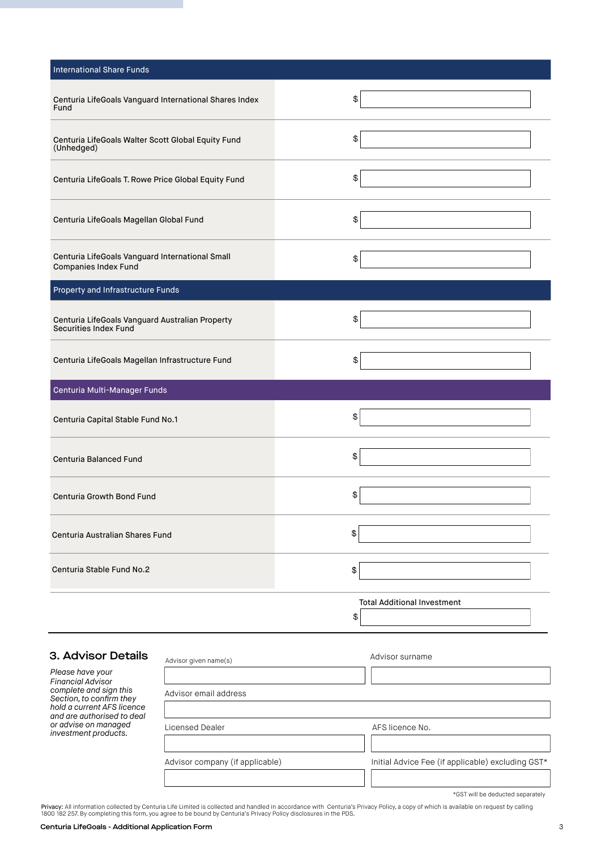| <b>International Share Funds</b>                                         |                                          |
|--------------------------------------------------------------------------|------------------------------------------|
| Centuria LifeGoals Vanguard International Shares Index<br>Fund           | \$                                       |
| Centuria LifeGoals Walter Scott Global Equity Fund<br>(Unhedged)         | \$                                       |
| Centuria LifeGoals T. Rowe Price Global Equity Fund                      | \$                                       |
| Centuria LifeGoals Magellan Global Fund                                  | \$                                       |
| Centuria LifeGoals Vanguard International Small<br>Companies Index Fund  | \$                                       |
| <b>Property and Infrastructure Funds</b>                                 |                                          |
| Centuria LifeGoals Vanguard Australian Property<br>Securities Index Fund | \$                                       |
| Centuria LifeGoals Magellan Infrastructure Fund                          | \$                                       |
| Centuria Multi-Manager Funds                                             |                                          |
| Centuria Capital Stable Fund No.1                                        | \$                                       |
| <b>Centuria Balanced Fund</b>                                            | \$                                       |
| Centuria Growth Bond Fund                                                | \$                                       |
| Centuria Australian Shares Fund                                          | \$                                       |
| Centuria Stable Fund No.2                                                | \$                                       |
|                                                                          | <b>Total Additional Investment</b><br>\$ |

# 3. Advisor Details

*Please have your Financial Advisor complete and sign this Section, to confirm they hold a current AFS licence and are authorised to deal or advise on managed investment products.* 

| Advisor given name(s)           | Advisor surname                                   |
|---------------------------------|---------------------------------------------------|
|                                 |                                                   |
| Advisor email address           |                                                   |
|                                 |                                                   |
| Licensed Dealer                 | AFS licence No.                                   |
|                                 |                                                   |
| Advisor company (if applicable) | Initial Advice Fee (if applicable) excluding GST* |
|                                 |                                                   |

\*GST will be deducted separately

**Privacy:** All information collected by Centuria Life Limited is collected and handled in accordance with Centuria's Privacy Policy, a copy of which is available on request by calling<br>1800 182 257. By completing this form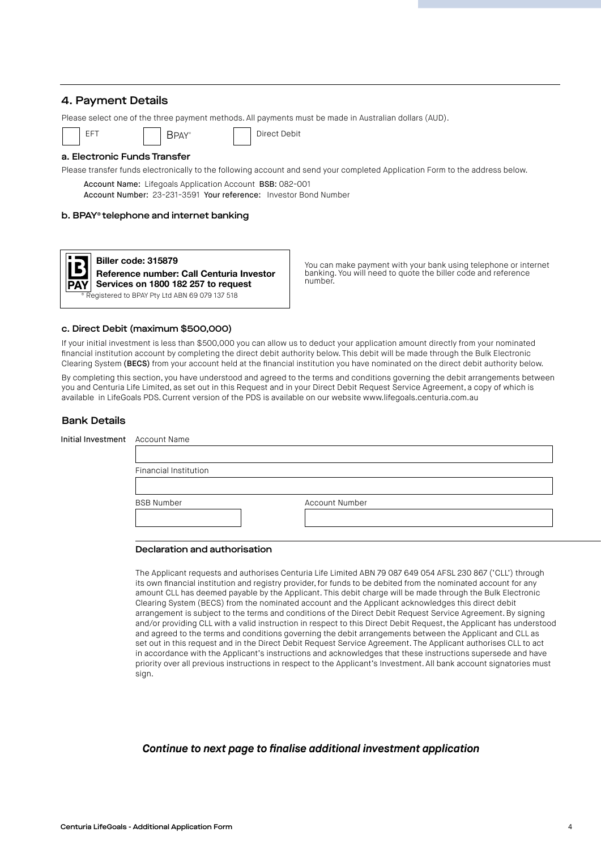# 4. Payment Details

Please select one of the three payment methods. All payments must be made in Australian dollars (AUD).

BPAY® | Direct Debit

#### a. Electronic Funds Transfer

Please transfer funds electronically to the following account and send your completed Application Form to the address below. Account Name: Lifegoals Application Account BSB: 082-001 Account Number: 23-231-3591 Your reference: Investor Bond Number

# b. BPAY® telephone and internet banking



You can make payment with your bank using telephone or internet banking. You will need to quote the biller code and reference number.

#### c. Direct Debit (maximum \$500,000)

If your initial investment is less than \$500,000 you can allow us to deduct your application amount directly from your nominated financial institution account by completing the direct debit authority below. This debit will be made through the Bulk Electronic Clearing System (BECS) from your account held at the financial institution you have nominated on the direct debit authority below.

By completing this section, you have understood and agreed to the terms and conditions governing the debit arrangements between you and Centuria Life Limited, as set out in this Request and in your Direct Debit Request Service Agreement, a copy of which is available in LifeGoals PDS. Current version of the PDS is available on our website www.lifegoals.centuria.com.au

#### Bank Details

| Initial Investment Account Name |                       |  |                       |  |  |
|---------------------------------|-----------------------|--|-----------------------|--|--|
|                                 |                       |  |                       |  |  |
|                                 | Financial Institution |  |                       |  |  |
|                                 |                       |  |                       |  |  |
|                                 | <b>BSB Number</b>     |  | <b>Account Number</b> |  |  |
|                                 |                       |  |                       |  |  |
|                                 |                       |  |                       |  |  |

#### Declaration and authorisation

The Applicant requests and authorises Centuria Life Limited ABN 79 087 649 054 AFSL 230 867 ('CLL') through its own financial institution and registry provider, for funds to be debited from the nominated account for any amount CLL has deemed payable by the Applicant. This debit charge will be made through the Bulk Electronic Clearing System (BECS) from the nominated account and the Applicant acknowledges this direct debit arrangement is subject to the terms and conditions of the Direct Debit Request Service Agreement. By signing and/or providing CLL with a valid instruction in respect to this Direct Debit Request, the Applicant has understood and agreed to the terms and conditions governing the debit arrangements between the Applicant and CLL as set out in this request and in the Direct Debit Request Service Agreement. The Applicant authorises CLL to act in accordance with the Applicant's instructions and acknowledges that these instructions supersede and have priority over all previous instructions in respect to the Applicant's Investment. All bank account signatories must sign.

# *Continue to next page to finalise additional investment application*